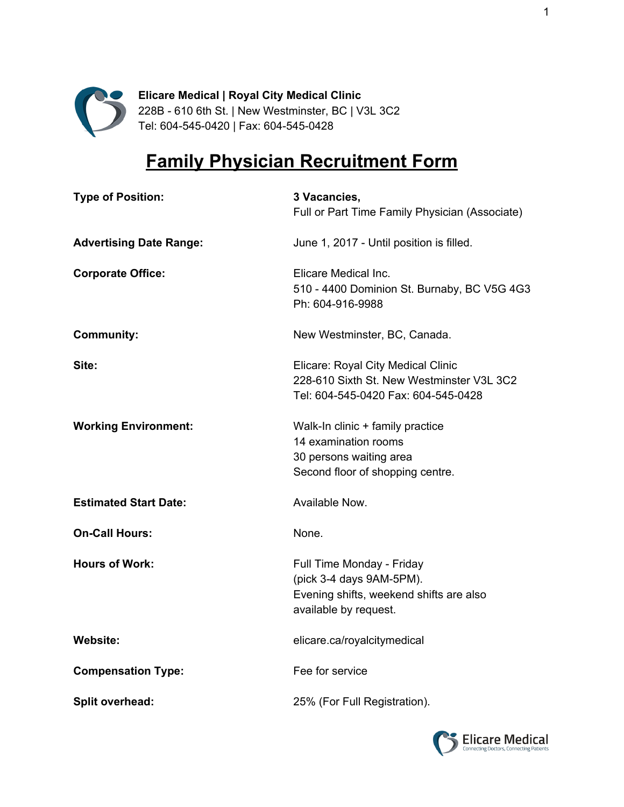

**Elicare Medical | Royal City Medical Clinic** 228B - 610 6th St. | New Westminster, BC | V3L 3C2 Tel: 604-545-0420 | Fax: 604-545-0428

## **Family Physician Recruitment Form**

| <b>Type of Position:</b>       | 3 Vacancies,<br>Full or Part Time Family Physician (Associate)                                                            |
|--------------------------------|---------------------------------------------------------------------------------------------------------------------------|
| <b>Advertising Date Range:</b> | June 1, 2017 - Until position is filled.                                                                                  |
| <b>Corporate Office:</b>       | Elicare Medical Inc.<br>510 - 4400 Dominion St. Burnaby, BC V5G 4G3<br>Ph: 604-916-9988                                   |
| <b>Community:</b>              | New Westminster, BC, Canada.                                                                                              |
| Site:                          | Elicare: Royal City Medical Clinic<br>228-610 Sixth St. New Westminster V3L 3C2<br>Tel: 604-545-0420 Fax: 604-545-0428    |
| <b>Working Environment:</b>    | Walk-In clinic + family practice<br>14 examination rooms<br>30 persons waiting area<br>Second floor of shopping centre.   |
| <b>Estimated Start Date:</b>   | Available Now.                                                                                                            |
| <b>On-Call Hours:</b>          | None.                                                                                                                     |
| <b>Hours of Work:</b>          | Full Time Monday - Friday<br>(pick 3-4 days 9AM-5PM).<br>Evening shifts, weekend shifts are also<br>available by request. |
| <b>Website:</b>                | elicare.ca/royalcitymedical                                                                                               |
| <b>Compensation Type:</b>      | Fee for service                                                                                                           |
| Split overhead:                | 25% (For Full Registration).                                                                                              |

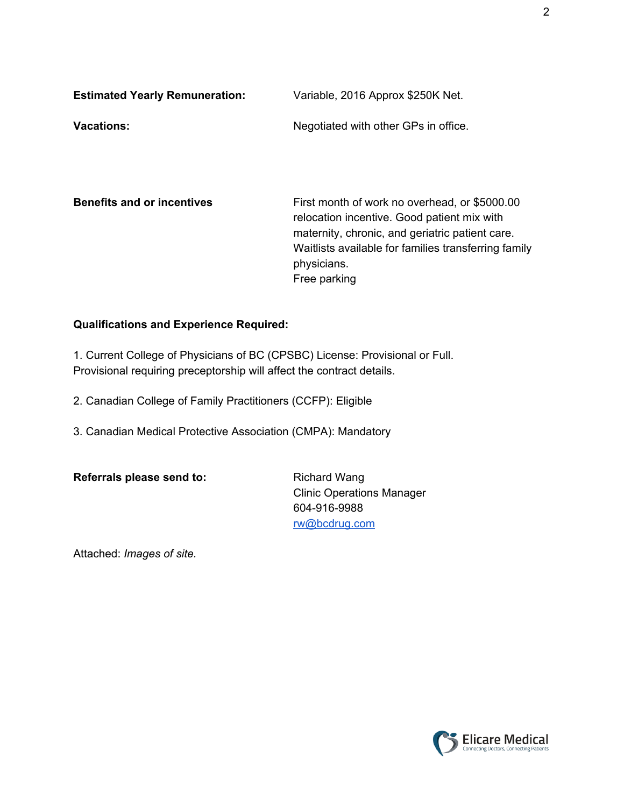| <b>Estimated Yearly Remuneration:</b> | Variable, 2016 Approx \$250K Net.    |
|---------------------------------------|--------------------------------------|
| <b>Vacations:</b>                     | Negotiated with other GPs in office. |

**Benefits and or incentives** First month of work no overhead, or \$5000.00 relocation incentive. Good patient mix with maternity, chronic, and geriatric patient care. Waitlists available for families transferring family physicians. Free parking

## **Qualifications and Experience Required:**

1. Current College of Physicians of BC (CPSBC) License: Provisional or Full. Provisional requiring preceptorship will affect the contract details.

2. Canadian College of Family Practitioners (CCFP): Eligible

3. Canadian Medical Protective Association (CMPA): Mandatory

**Referrals please send to:** Richard Wang

Clinic Operations Manager 604-916-9988 [rw@bcdrug.com](mailto:rw@bcdrug.com)

Attached: *Images of site.*